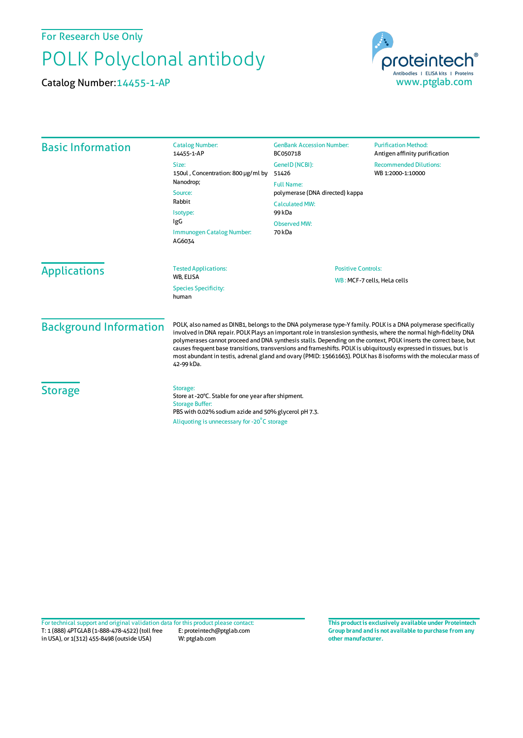For Research Use Only

## POLK Polyclonal antibody

Catalog Number:14455-1-AP



| <b>Catalog Number:</b><br>14455-1-AP                   | <b>GenBank Accession Number:</b><br>BC050718                                                       | <b>Purification Method:</b><br>Antigen affinity purification                                                                                                                                                                                                                                                                                                                                                                                                                                                                                                                                                                                                                                                               |
|--------------------------------------------------------|----------------------------------------------------------------------------------------------------|----------------------------------------------------------------------------------------------------------------------------------------------------------------------------------------------------------------------------------------------------------------------------------------------------------------------------------------------------------------------------------------------------------------------------------------------------------------------------------------------------------------------------------------------------------------------------------------------------------------------------------------------------------------------------------------------------------------------------|
| Size:<br>150ul, Concentration: 800 µg/ml by            | GeneID (NCBI):                                                                                     | <b>Recommended Dilutions:</b>                                                                                                                                                                                                                                                                                                                                                                                                                                                                                                                                                                                                                                                                                              |
|                                                        | WB 1:2000-1:10000<br><b>Full Name:</b><br>polymerase (DNA directed) kappa<br><b>Calculated MW:</b> |                                                                                                                                                                                                                                                                                                                                                                                                                                                                                                                                                                                                                                                                                                                            |
| Source:<br>Rabbit                                      |                                                                                                    |                                                                                                                                                                                                                                                                                                                                                                                                                                                                                                                                                                                                                                                                                                                            |
| Isotype:<br>IgG<br>Immunogen Catalog Number:<br>AG6034 | 99 kDa                                                                                             |                                                                                                                                                                                                                                                                                                                                                                                                                                                                                                                                                                                                                                                                                                                            |
|                                                        | <b>Observed MW:</b><br>70 kDa                                                                      |                                                                                                                                                                                                                                                                                                                                                                                                                                                                                                                                                                                                                                                                                                                            |
| <b>Tested Applications:</b><br>WB, ELISA               | <b>Positive Controls:</b><br>WB: MCF-7 cells, HeLa cells                                           |                                                                                                                                                                                                                                                                                                                                                                                                                                                                                                                                                                                                                                                                                                                            |
| <b>Species Specificity:</b><br>human                   |                                                                                                    |                                                                                                                                                                                                                                                                                                                                                                                                                                                                                                                                                                                                                                                                                                                            |
| 42-99 kDa.                                             |                                                                                                    |                                                                                                                                                                                                                                                                                                                                                                                                                                                                                                                                                                                                                                                                                                                            |
| Storage:<br><b>Storage Buffer:</b>                     | Aliquoting is unnecessary for -20°C storage                                                        |                                                                                                                                                                                                                                                                                                                                                                                                                                                                                                                                                                                                                                                                                                                            |
|                                                        | Nanodrop;                                                                                          | 51426<br>POLK, also named as DINB1, belongs to the DNA polymerase type-Y family. POLK is a DNA polymerase specifically<br>involved in DNA repair. POLK Plays an important role in translesion synthesis, where the normal high-fidelity DNA<br>polymerases cannot proceed and DNA synthesis stalls. Depending on the context, POLK inserts the correct base, but<br>causes frequent base transitions, transversions and frameshifts. POLK is ubiquitously expressed in tissues, but is<br>most abundant in testis, adrenal gland and ovary (PMID: 15661663). POLK has 8 isoforms with the molecular mass of<br>Store at -20°C. Stable for one year after shipment.<br>PBS with 0.02% sodium azide and 50% glycerol pH 7.3. |

T: 1 (888) 4PTGLAB (1-888-478-4522) (toll free in USA), or 1(312) 455-8498 (outside USA) E: proteintech@ptglab.com W: ptglab.com Fortechnical support and original validation data forthis product please contact: **This productis exclusively available under Proteintech**

**Group brand and is not available to purchase from any other manufacturer.**